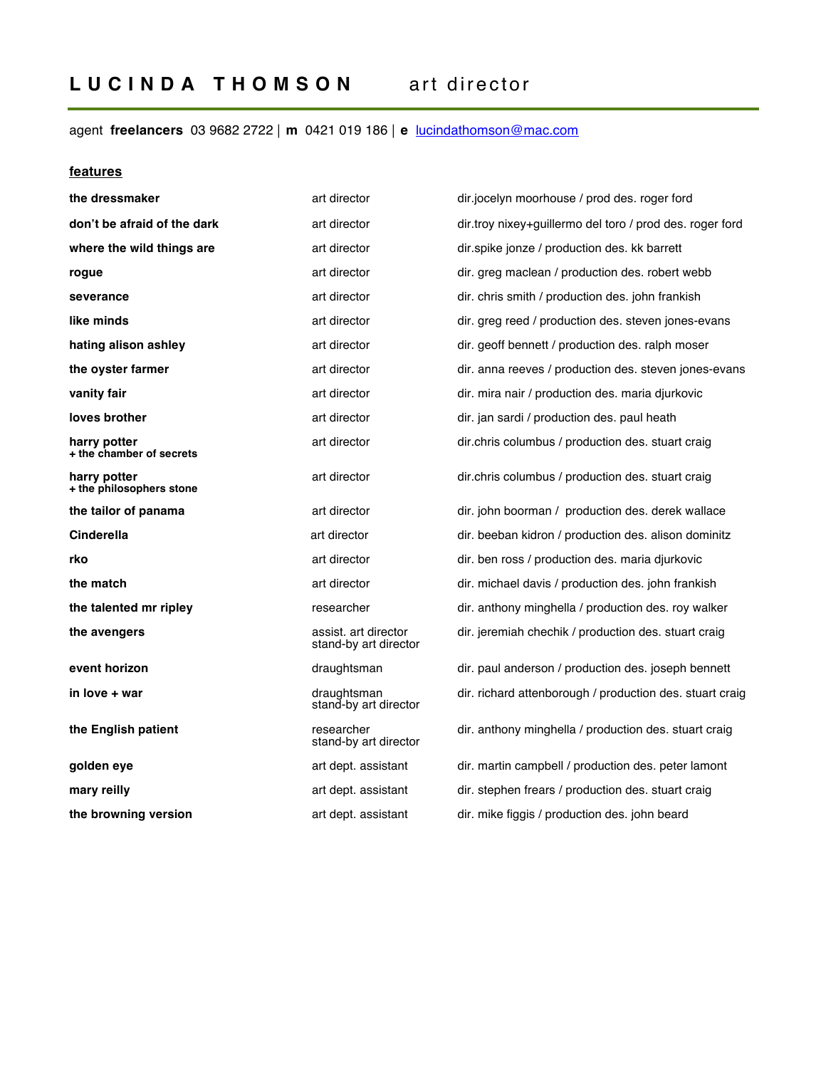# agent **freelancers** 03 9682 2722 ⎢ **m** 0421 019 186 ⎢ **e** lucindathomson@mac.com

## **features**

| the dressmaker                           | art director                                  | dir.jocelyn moorhouse / prod des. roger ford             |
|------------------------------------------|-----------------------------------------------|----------------------------------------------------------|
| don't be afraid of the dark              | art director                                  | dir.troy nixey+guillermo del toro / prod des. roger ford |
| where the wild things are                | art director                                  | dir.spike jonze / production des. kk barrett             |
| rogue                                    | art director                                  | dir. greg maclean / production des. robert webb          |
| severance                                | art director                                  | dir. chris smith / production des. john frankish         |
| like minds                               | art director                                  | dir. greg reed / production des. steven jones-evans      |
| hating alison ashley                     | art director                                  | dir. geoff bennett / production des. ralph moser         |
| the oyster farmer                        | art director                                  | dir. anna reeves / production des. steven jones-evans    |
| vanity fair                              | art director                                  | dir. mira nair / production des. maria djurkovic         |
| loves brother                            | art director                                  | dir. jan sardi / production des. paul heath              |
| harry potter<br>+ the chamber of secrets | art director                                  | dir.chris columbus / production des. stuart craig        |
| harry potter<br>+ the philosophers stone | art director                                  | dir.chris columbus / production des. stuart craig        |
| the tailor of panama                     | art director                                  | dir. john boorman / production des. derek wallace        |
| Cinderella                               | art director                                  | dir. beeban kidron / production des. alison dominitz     |
| rko                                      | art director                                  | dir. ben ross / production des. maria djurkovic          |
| the match                                | art director                                  | dir. michael davis / production des. john frankish       |
| the talented mr ripley                   | researcher                                    | dir. anthony minghella / production des. roy walker      |
| the avengers                             | assist, art director<br>stand-by art director | dir. jeremiah chechik / production des. stuart craig     |
| event horizon                            | draughtsman                                   | dir. paul anderson / production des. joseph bennett      |
| in love + war                            | draughtsman<br>stand-by art director          | dir. richard attenborough / production des. stuart craig |
| the English patient                      | researcher<br>stand-by art director           | dir. anthony minghella / production des. stuart craig    |
| golden eye                               | art dept. assistant                           | dir. martin campbell / production des. peter lamont      |
| mary reilly                              | art dept. assistant                           | dir. stephen frears / production des. stuart craig       |
| the browning version                     | art dept. assistant                           | dir. mike figgis / production des. john beard            |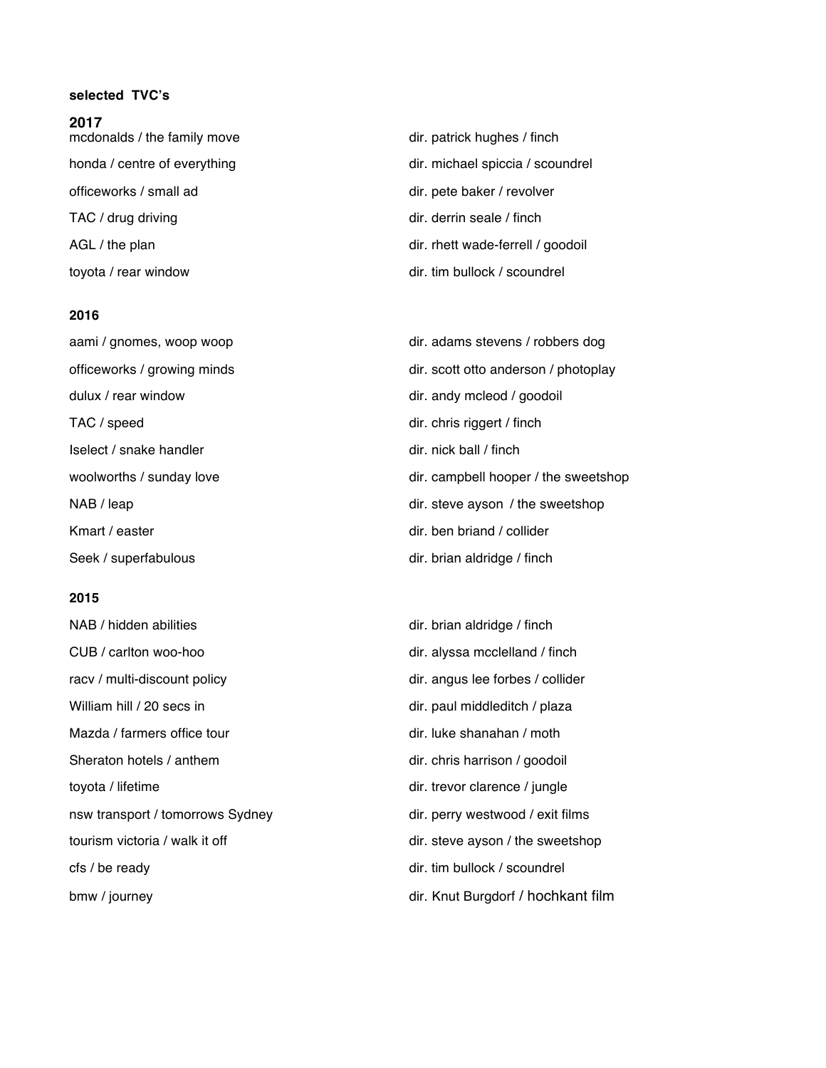## **selected TVC's**

**2017**

| 20 I I<br>mcdonalds / the family move | dir. patrick hughes / finch       |
|---------------------------------------|-----------------------------------|
| honda / centre of everything          | dir. michael spiccia / scoundrel  |
| officeworks / small ad                | dir. pete baker / revolver        |
| TAC / drug driving                    | dir. derrin seale / finch         |
| AGL / the plan                        | dir. rhett wade-ferrell / goodoil |
| toyota / rear window                  | dir. tim bullock / scoundrel      |

## **2016**

dulux / rear window dir. andy mcleod / goodoil TAC / speed dir. chris riggert / finch Iselect / snake handler dir. nick ball / finch Kmart / easter direction of the collider direction of the direction of the direction of the direction of the direction of the direction of the direction of the direction of the direction of the direction of the direction o Seek / superfabulous dir. brian aldridge / finch

## **2015**

NAB / hidden abilities dir. brian aldridge / finch CUB / carlton woo-hoo dir. alyssa mcclelland / finch racv / multi-discount policy dir. angus lee forbes / collider William hill / 20 secs in dir. paul middleditch / plaza Mazda / farmers office tour dir. luke shanahan / moth Sheraton hotels / anthem dir. chris harrison / goodoil toyota / lifetime dir. trevor clarence / jungle nsw transport / tomorrows Sydney dir. perry westwood / exit films tourism victoria / walk it off dir. steve ayson / the sweetshop cfs / be ready dir. tim bullock / scoundrel bmw / journey dir. Knut Burgdorf / hochkant film

aami / gnomes, woop woop dir. adams stevens / robbers dog officeworks / growing minds dir. scott otto anderson / photoplay woolworths / sunday love dir. campbell hooper / the sweetshop NAB / leap dir. steve ayson / the sweetshop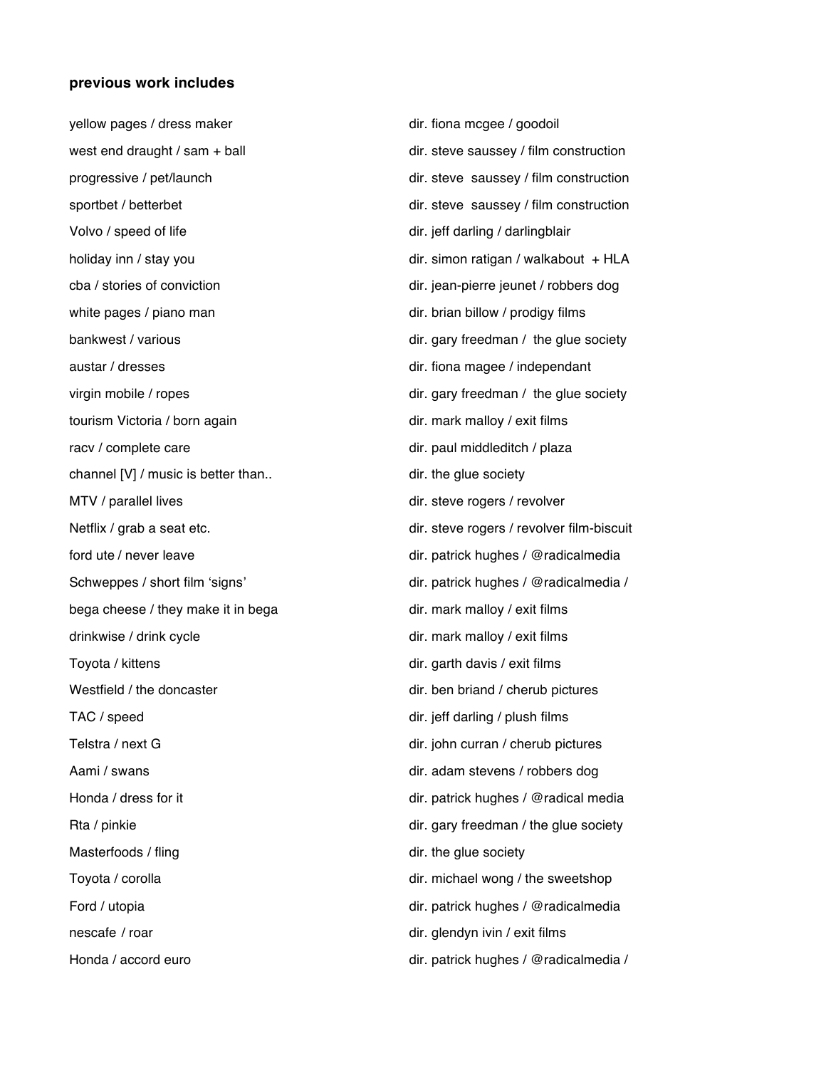#### **previous work includes**

Volvo / speed of life direction of the direction of the direction of the direction of the direction of the direction of the direction of the direction of the direction of the direction of the direction of the direction of cba / stories of conviction dir. jean-pierre jeunet / robbers dog white pages / piano man direction billow / prodigy films austar / dresses dir. fiona magee / independant tourism Victoria / born again dir. mark malloy / exit films racv / complete care dir. paul middleditch / plaza channel [V] / music is better than.. dir. the glue society MTV / parallel lives dir. steve rogers / revolver ford ute / never leave dir. patrick hughes / @radicalmedia bega cheese / they make it in bega dir. mark malloy / exit films drinkwise / drink cycle dir. mark malloy / exit films Toyota / kittens dir. garth davis / exit films Westfield / the doncaster dir. ben briand / cherub pictures TAC / speed dir. jeff darling / plush films Telstra / next G dir. john curran / cherub pictures Aami / swans dir. adam stevens / robbers dog Honda / dress for it dir. patrick hughes / @radical media Rta / pinkie dir. gary freedman / the glue society Masterfoods / fling dir. the glue society Toyota / corolla dir. michael wong / the sweetshop Ford / utopia dir. patrick hughes / @radicalmedia nescafe / roar dir. glendyn ivin / exit films Honda / accord euro dir. patrick hughes / @radicalmedia /

yellow pages / dress maker dir. fiona mcgee / goodoil west end draught / sam + ball dir. steve saussey / film construction progressive / pet/launch dir. steve saussey / film construction sportbet / betterbet dir. steve saussey / film construction holiday inn / stay you dir. simon ratigan / walkabout + HLA bankwest / various dir. gary freedman / the glue society virgin mobile / ropes dir. gary freedman / the glue society Netflix / grab a seat etc. dir. steve rogers / revolver film-biscuit Schweppes / short film 'signs' dir. patrick hughes / @radicalmedia /